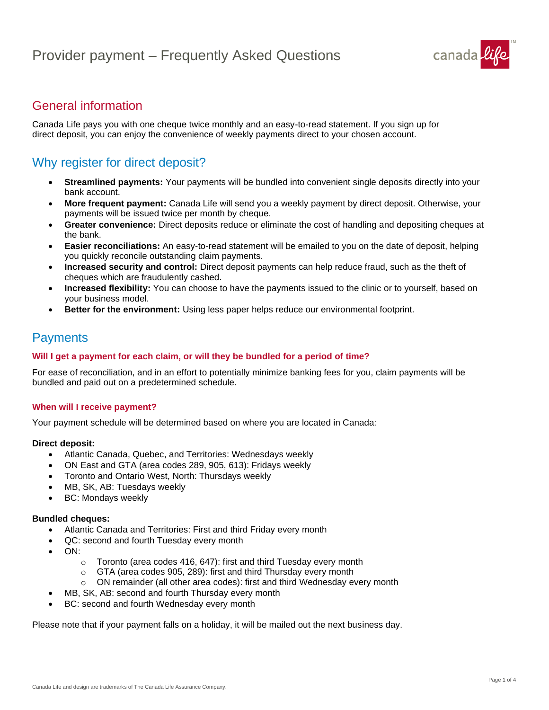

## General information

Canada Life pays you with one cheque twice monthly and an easy-to-read statement. If you sign up for direct deposit, you can enjoy the convenience of weekly payments direct to your chosen account.

## Why register for direct deposit?

- **Streamlined payments:** Your payments will be bundled into convenient single deposits directly into your bank account.
- **More frequent payment:** Canada Life will send you a weekly payment by direct deposit. Otherwise, your payments will be issued twice per month by cheque.
- **Greater convenience:** Direct deposits reduce or eliminate the cost of handling and depositing cheques at the bank.
- **Easier reconciliations:** An easy-to-read statement will be emailed to you on the date of deposit, helping you quickly reconcile outstanding claim payments.
- **Increased security and control:** Direct deposit payments can help reduce fraud, such as the theft of cheques which are fraudulently cashed.
- **Increased flexibility:** You can choose to have the payments issued to the clinic or to yourself, based on your business model.
- **Better for the environment:** Using less paper helps reduce our environmental footprint.

## **Payments**

#### **Will I get a payment for each claim, or will they be bundled for a period of time?**

For ease of reconciliation, and in an effort to potentially minimize banking fees for you, claim payments will be bundled and paid out on a predetermined schedule.

#### **When will I receive payment?**

Your payment schedule will be determined based on where you are located in Canada:

#### **Direct deposit:**

- Atlantic Canada, Quebec, and Territories: Wednesdays weekly
- ON East and GTA (area codes 289, 905, 613): Fridays weekly
- Toronto and Ontario West, North: Thursdays weekly
- MB, SK, AB: Tuesdays weekly
- BC: Mondays weekly

#### **Bundled cheques:**

- Atlantic Canada and Territories: First and third Friday every month
- QC: second and fourth Tuesday every month
- ON:
	- o Toronto (area codes 416, 647): first and third Tuesday every month
	- o GTA (area codes 905, 289): first and third Thursday every month
	- $\circ$  ON remainder (all other area codes): first and third Wednesday every month
- MB, SK, AB: second and fourth Thursday every month
- BC: second and fourth Wednesday every month

Please note that if your payment falls on a holiday, it will be mailed out the next business day.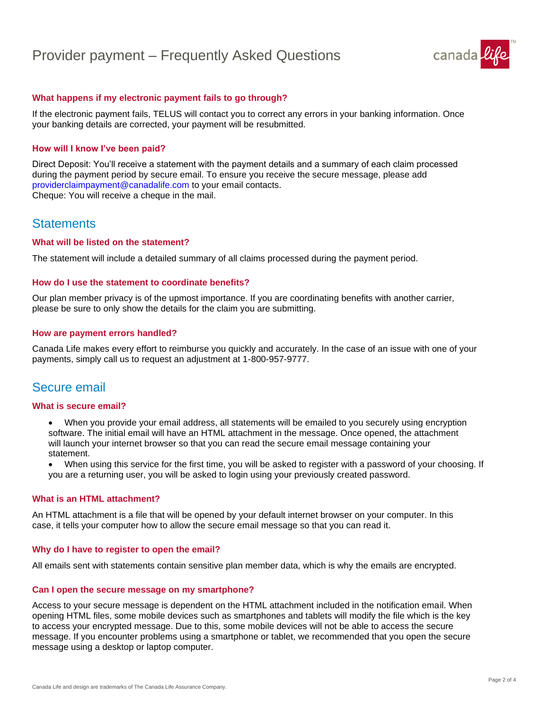# Provider payment – Frequently Asked Questions



#### **What happens if my electronic payment fails to go through?**

If the electronic payment fails, TELUS will contact you to correct any errors in your banking information. Once your banking details are corrected, your payment will be resubmitted.

#### **How will I know I've been paid?**

Direct Deposit: You'll receive a statement with the payment details and a summary of each claim processed during the payment period by secure email. To ensure you receive the secure message, please add providerclaimpayment@canadalife.com to your email contacts. Cheque: You will receive a cheque in the mail.

### **Statements**

#### **What will be listed on the statement?**

The statement will include a detailed summary of all claims processed during the payment period.

#### **How do I use the statement to coordinate benefits?**

Our plan member privacy is of the upmost importance. If you are coordinating benefits with another carrier, please be sure to only show the details for the claim you are submitting.

#### **How are payment errors handled?**

Canada Life makes every effort to reimburse you quickly and accurately. In the case of an issue with one of your payments, simply call us to request an adjustment at 1-800-957-9777.

### Secure email

#### **What is secure email?**

• When you provide your email address, all statements will be emailed to you securely using encryption software. The initial email will have an HTML attachment in the message. Once opened, the attachment will launch your internet browser so that you can read the secure email message containing your statement.

• When using this service for the first time, you will be asked to register with a password of your choosing. If you are a returning user, you will be asked to login using your previously created password.

#### **What is an HTML attachment?**

An HTML attachment is a file that will be opened by your default internet browser on your computer. In this case, it tells your computer how to allow the secure email message so that you can read it.

#### **Why do I have to register to open the email?**

All emails sent with statements contain sensitive plan member data, which is why the emails are encrypted.

#### **Can I open the secure message on my smartphone?**

Access to your secure message is dependent on the HTML attachment included in the notification email. When opening HTML files, some mobile devices such as smartphones and tablets will modify the file which is the key to access your encrypted message. Due to this, some mobile devices will not be able to access the secure message. If you encounter problems using a smartphone or tablet, we recommended that you open the secure message using a desktop or laptop computer.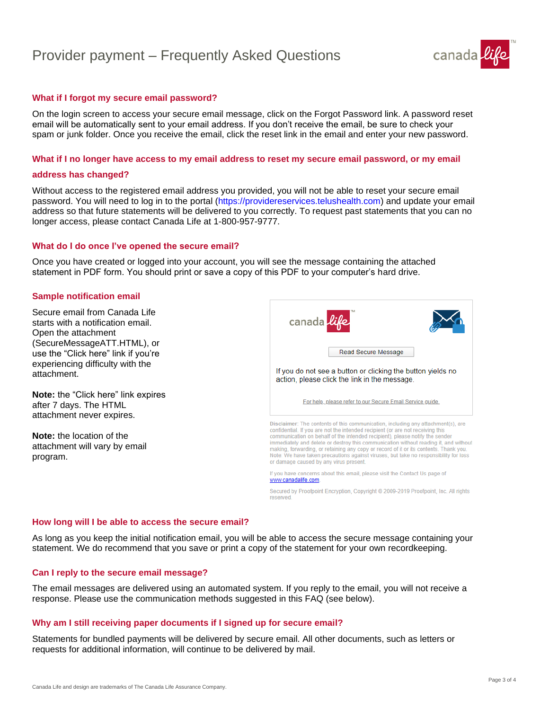# Provider payment – Frequently Asked Questions



#### **What if I forgot my secure email password?**

On the login screen to access your secure email message, click on the Forgot Password link. A password reset email will be automatically sent to your email address. If you don't receive the email, be sure to check your spam or junk folder. Once you receive the email, click the reset link in the email and enter your new password.

#### **What if I no longer have access to my email address to reset my secure email password, or my email**

#### **address has changed?**

Without access to the registered email address you provided, you will not be able to reset your secure email password. You will need to log in to the portal (https://providereservices.telushealth.com) and update your email address so that future statements will be delivered to you correctly. To request past statements that you can no longer access, please contact Canada Life at 1-800-957-9777.

#### **What do I do once I've opened the secure email?**

Once you have created or logged into your account, you will see the message containing the attached statement in PDF form. You should print or save a copy of this PDF to your computer's hard drive.

#### **Sample notification email**

Secure email from Canada Life starts with a notification email. Open the attachment (SecureMessageATT.HTML), or use the "Click here" link if you're experiencing difficulty with the attachment.

**Note:** the "Click here" link expires after 7 days. The HTML attachment never expires.

**Note:** the location of the attachment will vary by email program.



Secured by Proofpoint Encryption, Copyright @ 2009-2019 Proofpoint, Inc. All rights reserved.

#### **How long will I be able to access the secure email?**

As long as you keep the initial notification email, you will be able to access the secure message containing your statement. We do recommend that you save or print a copy of the statement for your own recordkeeping.

#### **Can I reply to the secure email message?**

The email messages are delivered using an automated system. If you reply to the email, you will not receive a response. Please use the communication methods suggested in this FAQ (see below).

#### **Why am I still receiving paper documents if I signed up for secure email?**

Statements for bundled payments will be delivered by secure email. All other documents, such as letters or requests for additional information, will continue to be delivered by mail.